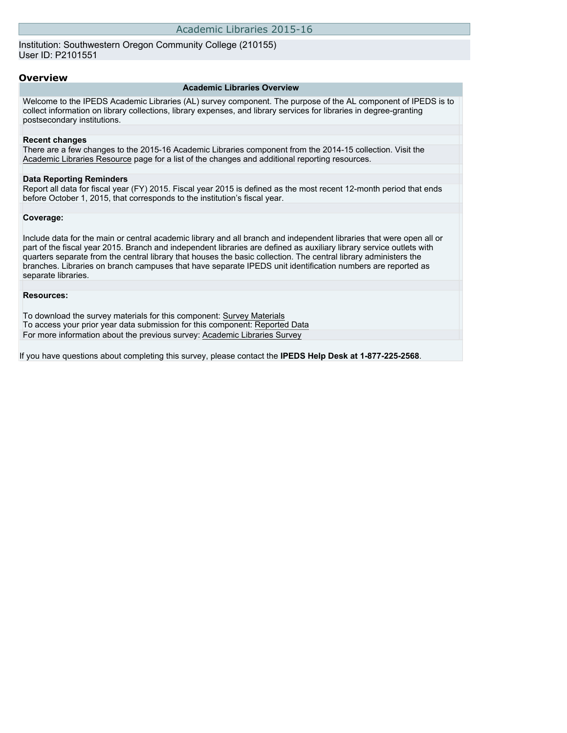Institution: Southwestern Oregon Community College (210155) User ID: P2101551

### **Overview**

### **Academic Libraries Overview**

Welcome to the IPEDS Academic Libraries (AL) survey component. The purpose of the AL component of IPEDS is to collect information on library collections, library expenses, and library services for libraries in degree-granting postsecondary institutions.

#### **Recent changes**

There are a few changes to the 2015-16 Academic Libraries component from the 2014-15 collection. Visit the [Academic Libraries Resource](http://nces.ed.gov/ipeds/Section/Alscenter) page for a list of the changes and additional reporting resources.

#### **Data Reporting Reminders**

Report all data for fiscal year (FY) 2015. Fiscal year 2015 is defined as the most recent 12-month period that ends before October 1, 2015, that corresponds to the institution's fiscal year.

### **Coverage:**

Include data for the main or central academic library and all branch and independent libraries that were open all or part of the fiscal year 2015. Branch and independent libraries are defined as auxiliary library service outlets with quarters separate from the central library that houses the basic collection. The central library administers the branches. Libraries on branch campuses that have separate IPEDS unit identification numbers are reported as separate libraries.

### **Resources:**

To download the survey materials for this component: [Survey Materials](https://surveys.nces.ed.gov/ipeds/VisIndex.aspx) To access your prior year data submission for this component: [Reported Data](http://192.168.102.153/IPEDS/PriorYearDataRedirect.aspx?survey_id=15) For more information about the previous survey: [Academic Libraries Survey](https://nces.ed.gov/surveys/libraries/academic.asp)

If you have questions about completing this survey, please contact the **IPEDS Help Desk at 1-877-225-2568**.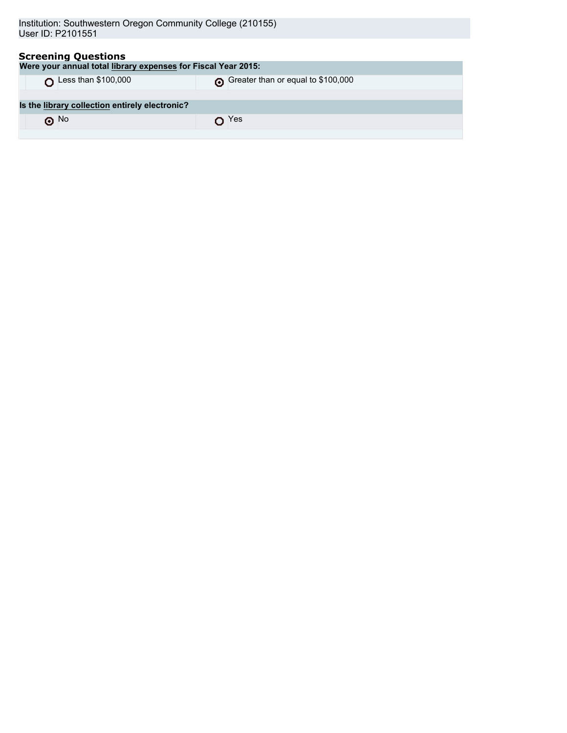| <b>Screening Questions</b><br>Were your annual total library expenses for Fiscal Year 2015: |                                    |  |  |  |
|---------------------------------------------------------------------------------------------|------------------------------------|--|--|--|
| Less than \$100,000                                                                         | Greater than or equal to \$100,000 |  |  |  |
| Is the library collection entirely electronic?                                              |                                    |  |  |  |
| $\odot$ No                                                                                  | Yes                                |  |  |  |
|                                                                                             |                                    |  |  |  |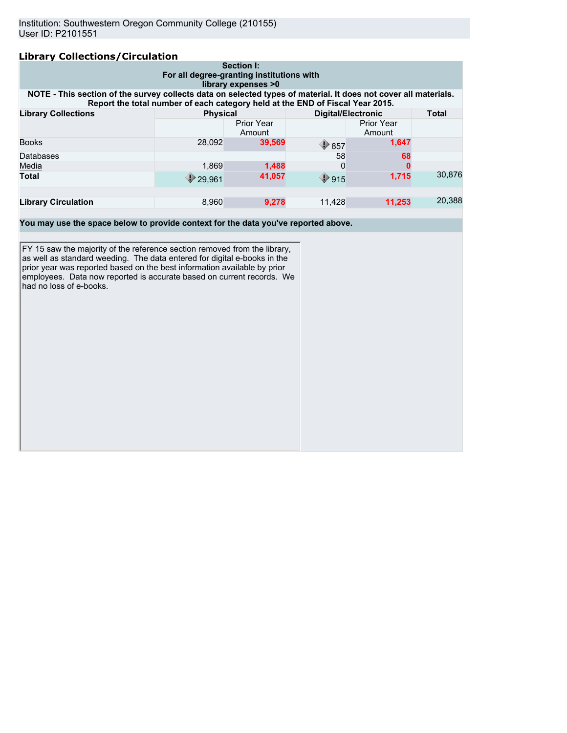# **Library Collections/Circulation**

| ----------<br>Section I:<br>For all degree-granting institutions with<br>library expenses >0                                                                                                     |        |                             |                                            |                             |              |
|--------------------------------------------------------------------------------------------------------------------------------------------------------------------------------------------------|--------|-----------------------------|--------------------------------------------|-----------------------------|--------------|
| NOTE - This section of the survey collects data on selected types of material. It does not cover all materials.<br>Report the total number of each category held at the END of Fiscal Year 2015. |        |                             |                                            |                             |              |
| <b>Library Collections</b>                                                                                                                                                                       |        | <b>Physical</b>             |                                            | <b>Digital/Electronic</b>   | <b>Total</b> |
|                                                                                                                                                                                                  |        | <b>Prior Year</b><br>Amount |                                            | <b>Prior Year</b><br>Amount |              |
| <b>Books</b>                                                                                                                                                                                     | 28.092 | 39,569                      | $\textcolor{blue}{\blacktriangledown}$ 857 | 1,647                       |              |
| Databases                                                                                                                                                                                        |        |                             | 58                                         | 68                          |              |
| Media                                                                                                                                                                                            | 1.869  | 1,488                       | 0                                          |                             |              |
| <b>Total</b>                                                                                                                                                                                     | 29.961 | 41,057                      | $\bigcirc$ 915                             | 1.715                       | 30.876       |
|                                                                                                                                                                                                  |        |                             |                                            |                             |              |
| <b>Library Circulation</b>                                                                                                                                                                       | 8,960  | 9,278                       | 11,428                                     | 11,253                      | 20,388       |

**You may use the space below to provide context for the data you've reported above.**

FY 15 saw the majority of the reference section removed from the library, as well as standard weeding. The data entered for digital e-books in the prior year was reported based on the best information available by prior employees. Data now reported is accurate based on current records. We had no loss of e-books.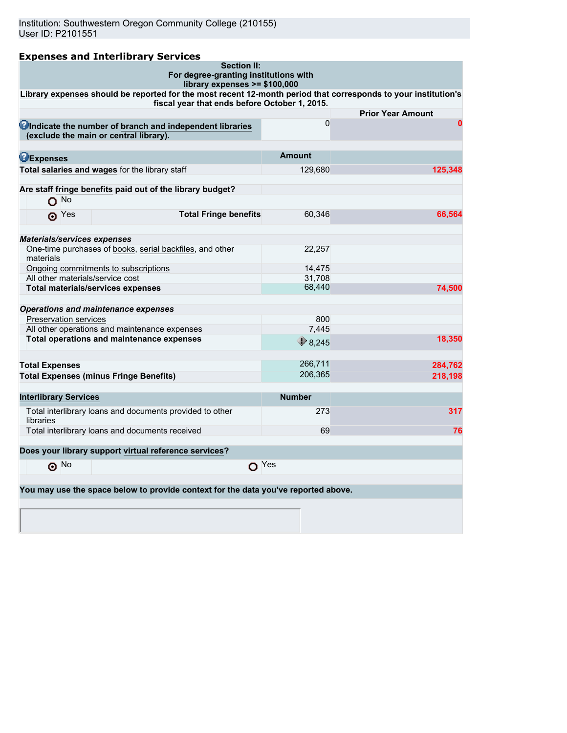|                                               | <b>Expenses and Interlibrary Services</b>                                                                                                                       |                  |                          |
|-----------------------------------------------|-----------------------------------------------------------------------------------------------------------------------------------------------------------------|------------------|--------------------------|
|                                               | <b>Section II:</b>                                                                                                                                              |                  |                          |
|                                               | For degree-granting institutions with<br>library expenses >= \$100,000                                                                                          |                  |                          |
|                                               | Library expenses should be reported for the most recent 12-month period that corresponds to your institution's<br>fiscal year that ends before October 1, 2015. |                  |                          |
|                                               |                                                                                                                                                                 |                  | <b>Prior Year Amount</b> |
|                                               | Cindicate the number of branch and independent libraries                                                                                                        | $\Omega$         | $\bf{0}$                 |
| (exclude the main or central library).        |                                                                                                                                                                 |                  |                          |
|                                               |                                                                                                                                                                 |                  |                          |
| <b>DExpenses</b>                              |                                                                                                                                                                 | <b>Amount</b>    |                          |
|                                               | Total salaries and wages for the library staff                                                                                                                  | 129,680          | 125,348                  |
|                                               | Are staff fringe benefits paid out of the library budget?                                                                                                       |                  |                          |
| $O$ No                                        |                                                                                                                                                                 |                  |                          |
| ெ $Y$ es                                      | <b>Total Fringe benefits</b>                                                                                                                                    | 60,346           | 66,564                   |
|                                               |                                                                                                                                                                 |                  |                          |
|                                               |                                                                                                                                                                 |                  |                          |
| <b>Materials/services expenses</b>            | One-time purchases of books, serial backfiles, and other                                                                                                        | 22,257           |                          |
| materials                                     |                                                                                                                                                                 |                  |                          |
| Ongoing commitments to subscriptions          |                                                                                                                                                                 | 14,475           |                          |
| All other materials/service cost              |                                                                                                                                                                 | 31.708           |                          |
| <b>Total materials/services expenses</b>      |                                                                                                                                                                 | 68,440           | 74,500                   |
| <b>Operations and maintenance expenses</b>    |                                                                                                                                                                 |                  |                          |
| <b>Preservation services</b>                  |                                                                                                                                                                 | 800              |                          |
|                                               | All other operations and maintenance expenses                                                                                                                   | 7,445            |                          |
|                                               | Total operations and maintenance expenses                                                                                                                       |                  | 18,350                   |
|                                               |                                                                                                                                                                 | $\bigcirc$ 8,245 |                          |
| <b>Total Expenses</b>                         |                                                                                                                                                                 | 266,711          | 284,762                  |
| <b>Total Expenses (minus Fringe Benefits)</b> |                                                                                                                                                                 | 206,365          | 218,198                  |
|                                               |                                                                                                                                                                 |                  |                          |
| <b>Interlibrary Services</b>                  |                                                                                                                                                                 | <b>Number</b>    |                          |
|                                               | Total interlibrary loans and documents provided to other                                                                                                        | 273              | 317                      |
| libraries                                     |                                                                                                                                                                 |                  |                          |
|                                               | Total interlibrary loans and documents received                                                                                                                 | 69               | 76                       |
|                                               | Does your library support virtual reference services?                                                                                                           |                  |                          |
| $\odot$ No                                    | $O$ Yes                                                                                                                                                         |                  |                          |
|                                               |                                                                                                                                                                 |                  |                          |
|                                               | You may use the space below to provide context for the data you've reported above.                                                                              |                  |                          |
|                                               |                                                                                                                                                                 |                  |                          |
|                                               |                                                                                                                                                                 |                  |                          |
|                                               |                                                                                                                                                                 |                  |                          |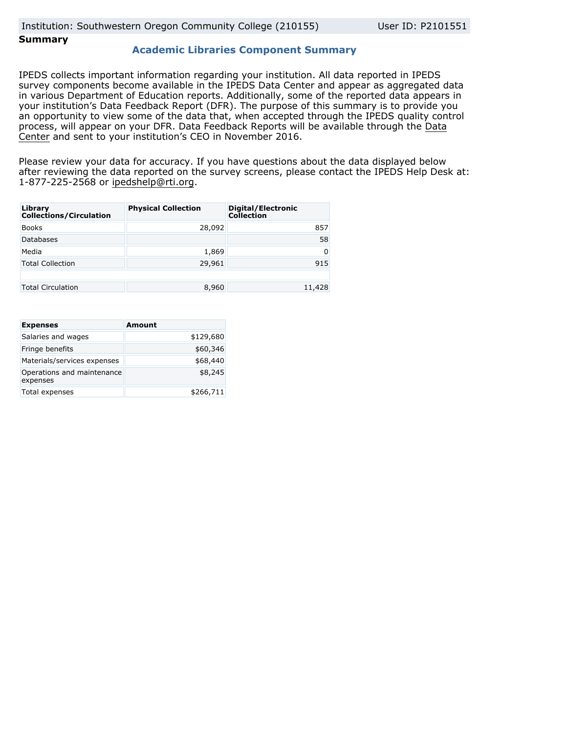### **Summary**

### **Academic Libraries Component Summary**

IPEDS collects important information regarding your institution. All data reported in IPEDS survey components become available in the IPEDS Data Center and appear as aggregated data in various Department of Education reports. Additionally, some of the reported data appears in your institution's Data Feedback Report (DFR). The purpose of this summary is to provide you an opportunity to view some of the data that, when accepted through the IPEDS quality control process, will appear on your DFR. Data Feedback Reports will be available through the [Data](http://nces.ed.gov/ipeds/datacenter/) [Center](http://nces.ed.gov/ipeds/datacenter/) and sent to your institution's CEO in November 2016.

Please review your data for accuracy. If you have questions about the data displayed below after reviewing the data reported on the survey screens, please contact the IPEDS Help Desk at: 1-877-225-2568 or ipedshelp@rti.org.

| Library<br><b>Collections/Circulation</b> | <b>Physical Collection</b> | Digital/Electronic<br><b>Collection</b> |
|-------------------------------------------|----------------------------|-----------------------------------------|
| <b>Books</b>                              | 28,092                     | 857                                     |
| Databases                                 |                            | 58                                      |
| Media                                     | 1,869                      | 0                                       |
| <b>Total Collection</b>                   | 29,961                     | 915                                     |
|                                           |                            |                                         |
| <b>Total Circulation</b>                  | 8,960                      | 11,428                                  |

| <b>Expenses</b>                        | <b>Amount</b> |
|----------------------------------------|---------------|
| Salaries and wages                     | \$129,680     |
| Fringe benefits                        | \$60,346      |
| Materials/services expenses            | \$68,440      |
| Operations and maintenance<br>expenses | \$8,245       |
| Total expenses                         | \$266,711     |